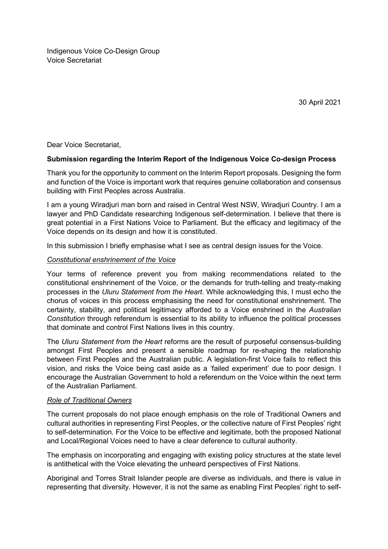Indigenous Voice Co-Design Group Voice Secretariat

30 April 2021

Dear Voice Secretariat,

## **Submission regarding the Interim Report of the Indigenous Voice Co-design Process**

Thank you for the opportunity to comment on the Interim Report proposals. Designing the form and function of the Voice is important work that requires genuine collaboration and consensus building with First Peoples across Australia.

I am a young Wiradjuri man born and raised in Central West NSW, Wiradjuri Country. I am a lawyer and PhD Candidate researching Indigenous self-determination. I believe that there is great potential in a First Nations Voice to Parliament. But the efficacy and legitimacy of the Voice depends on its design and how it is constituted.

In this submission I briefly emphasise what I see as central design issues for the Voice.

## *Constitutional enshrinement of the Voice*

Your terms of reference prevent you from making recommendations related to the constitutional enshrinement of the Voice, or the demands for truth-telling and treaty-making processes in the *Uluru Statement from the Heart*. While acknowledging this, I must echo the chorus of voices in this process emphasising the need for constitutional enshrinement. The certainty, stability, and political legitimacy afforded to a Voice enshrined in the *Australian Constitution* through referendum is essential to its ability to influence the political processes that dominate and control First Nations lives in this country.

The *Uluru Statement from the Heart* reforms are the result of purposeful consensus-building amongst First Peoples and present a sensible roadmap for re-shaping the relationship between First Peoples and the Australian public. A legislation-first Voice fails to reflect this vision, and risks the Voice being cast aside as a 'failed experiment' due to poor design. I encourage the Australian Government to hold a referendum on the Voice within the next term of the Australian Parliament.

## *Role of Traditional Owners*

The current proposals do not place enough emphasis on the role of Traditional Owners and cultural authorities in representing First Peoples, or the collective nature of First Peoples' right to self-determination. For the Voice to be effective and legitimate, both the proposed National and Local/Regional Voices need to have a clear deference to cultural authority.

The emphasis on incorporating and engaging with existing policy structures at the state level is antithetical with the Voice elevating the unheard perspectives of First Nations.

Aboriginal and Torres Strait Islander people are diverse as individuals, and there is value in representing that diversity. However, it is not the same as enabling First Peoples' right to self